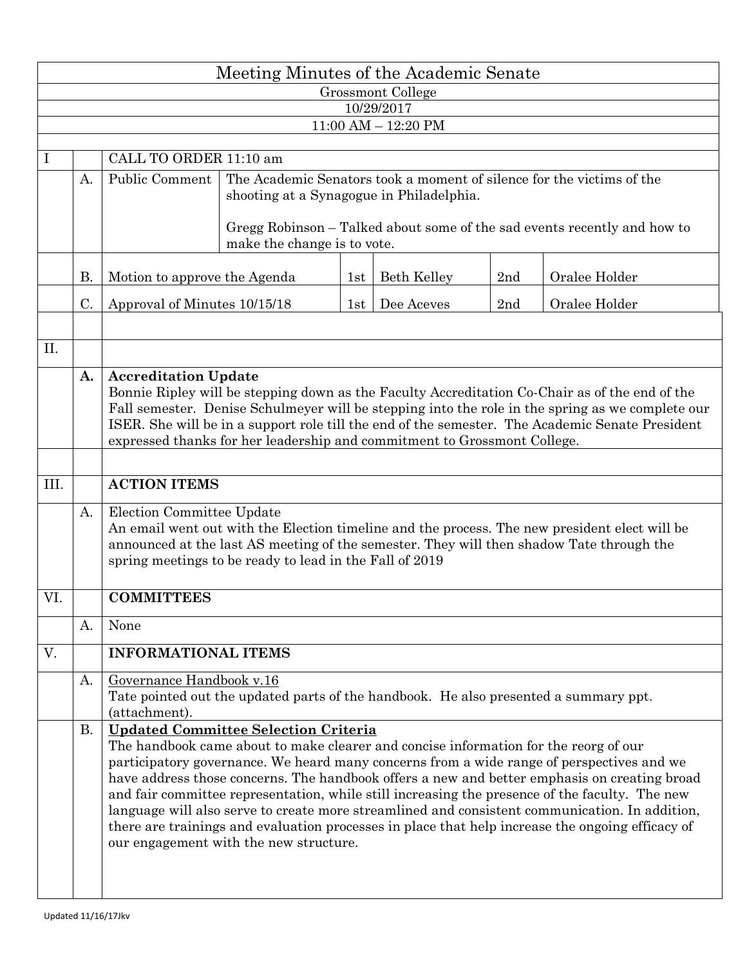| Meeting Minutes of the Academic Senate |                         |                                                                                                                                                                                                                                                                                                                                                                                                                                                                                                                                                                                                                                                                                    |  |     |                    |     |               |  |  |  |  |  |  |  |  |
|----------------------------------------|-------------------------|------------------------------------------------------------------------------------------------------------------------------------------------------------------------------------------------------------------------------------------------------------------------------------------------------------------------------------------------------------------------------------------------------------------------------------------------------------------------------------------------------------------------------------------------------------------------------------------------------------------------------------------------------------------------------------|--|-----|--------------------|-----|---------------|--|--|--|--|--|--|--|--|
| Grossmont College<br>10/29/2017        |                         |                                                                                                                                                                                                                                                                                                                                                                                                                                                                                                                                                                                                                                                                                    |  |     |                    |     |               |  |  |  |  |  |  |  |  |
|                                        | $11:00$ AM $- 12:20$ PM |                                                                                                                                                                                                                                                                                                                                                                                                                                                                                                                                                                                                                                                                                    |  |     |                    |     |               |  |  |  |  |  |  |  |  |
|                                        |                         |                                                                                                                                                                                                                                                                                                                                                                                                                                                                                                                                                                                                                                                                                    |  |     |                    |     |               |  |  |  |  |  |  |  |  |
| Ι                                      |                         | CALL TO ORDER 11:10 am                                                                                                                                                                                                                                                                                                                                                                                                                                                                                                                                                                                                                                                             |  |     |                    |     |               |  |  |  |  |  |  |  |  |
|                                        | A.                      | Public Comment<br>The Academic Senators took a moment of silence for the victims of the<br>shooting at a Synagogue in Philadelphia.                                                                                                                                                                                                                                                                                                                                                                                                                                                                                                                                                |  |     |                    |     |               |  |  |  |  |  |  |  |  |
|                                        |                         | Gregg Robinson – Talked about some of the sad events recently and how to<br>make the change is to vote.                                                                                                                                                                                                                                                                                                                                                                                                                                                                                                                                                                            |  |     |                    |     |               |  |  |  |  |  |  |  |  |
|                                        | <b>B.</b>               | Motion to approve the Agenda                                                                                                                                                                                                                                                                                                                                                                                                                                                                                                                                                                                                                                                       |  |     | <b>Beth Kelley</b> | 2nd | Oralee Holder |  |  |  |  |  |  |  |  |
|                                        | C.                      | Approval of Minutes 10/15/18                                                                                                                                                                                                                                                                                                                                                                                                                                                                                                                                                                                                                                                       |  | 1st | Dee Aceves         | 2nd | Oralee Holder |  |  |  |  |  |  |  |  |
| II.                                    |                         |                                                                                                                                                                                                                                                                                                                                                                                                                                                                                                                                                                                                                                                                                    |  |     |                    |     |               |  |  |  |  |  |  |  |  |
|                                        | A.                      | <b>Accreditation Update</b><br>Bonnie Ripley will be stepping down as the Faculty Accreditation Co-Chair as of the end of the<br>Fall semester. Denise Schulmeyer will be stepping into the role in the spring as we complete our<br>ISER. She will be in a support role till the end of the semester. The Academic Senate President<br>expressed thanks for her leadership and commitment to Grossmont College.                                                                                                                                                                                                                                                                   |  |     |                    |     |               |  |  |  |  |  |  |  |  |
| III.                                   |                         | <b>ACTION ITEMS</b>                                                                                                                                                                                                                                                                                                                                                                                                                                                                                                                                                                                                                                                                |  |     |                    |     |               |  |  |  |  |  |  |  |  |
|                                        | А.                      | Election Committee Update<br>An email went out with the Election timeline and the process. The new president elect will be<br>announced at the last AS meeting of the semester. They will then shadow Tate through the<br>spring meetings to be ready to lead in the Fall of 2019                                                                                                                                                                                                                                                                                                                                                                                                  |  |     |                    |     |               |  |  |  |  |  |  |  |  |
| VI.                                    |                         | <b>COMMITTEES</b>                                                                                                                                                                                                                                                                                                                                                                                                                                                                                                                                                                                                                                                                  |  |     |                    |     |               |  |  |  |  |  |  |  |  |
|                                        | A.                      | None                                                                                                                                                                                                                                                                                                                                                                                                                                                                                                                                                                                                                                                                               |  |     |                    |     |               |  |  |  |  |  |  |  |  |
| V.                                     |                         | <b>INFORMATIONAL ITEMS</b>                                                                                                                                                                                                                                                                                                                                                                                                                                                                                                                                                                                                                                                         |  |     |                    |     |               |  |  |  |  |  |  |  |  |
|                                        | A.                      | Governance Handbook v.16<br>Tate pointed out the updated parts of the handbook. He also presented a summary ppt.<br>(attachment).                                                                                                                                                                                                                                                                                                                                                                                                                                                                                                                                                  |  |     |                    |     |               |  |  |  |  |  |  |  |  |
|                                        | <b>B.</b>               | <b>Updated Committee Selection Criteria</b><br>The handbook came about to make clearer and concise information for the reorg of our<br>participatory governance. We heard many concerns from a wide range of perspectives and we<br>have address those concerns. The handbook offers a new and better emphasis on creating broad<br>and fair committee representation, while still increasing the presence of the faculty. The new<br>language will also serve to create more streamlined and consistent communication. In addition,<br>there are trainings and evaluation processes in place that help increase the ongoing efficacy of<br>our engagement with the new structure. |  |     |                    |     |               |  |  |  |  |  |  |  |  |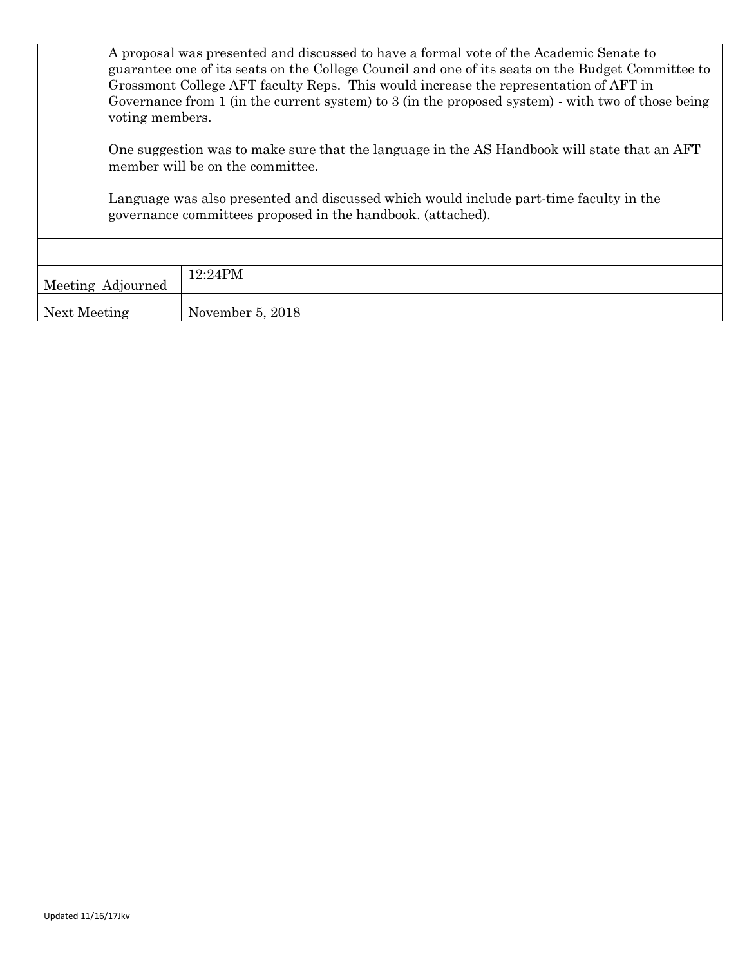|                   | voting members. | A proposal was presented and discussed to have a formal vote of the Academic Senate to<br>guarantee one of its seats on the College Council and one of its seats on the Budget Committee to<br>Grossmont College AFT faculty Reps. This would increase the representation of AFT in<br>Governance from 1 (in the current system) to 3 (in the proposed system) - with two of those being |  |  |  |  |  |
|-------------------|-----------------|------------------------------------------------------------------------------------------------------------------------------------------------------------------------------------------------------------------------------------------------------------------------------------------------------------------------------------------------------------------------------------------|--|--|--|--|--|
|                   |                 | One suggestion was to make sure that the language in the AS Handbook will state that an AFT<br>member will be on the committee.<br>Language was also presented and discussed which would include part-time faculty in the<br>governance committees proposed in the handbook. (attached).                                                                                                 |  |  |  |  |  |
|                   |                 |                                                                                                                                                                                                                                                                                                                                                                                          |  |  |  |  |  |
| Meeting Adjourned |                 | $12:24$ PM                                                                                                                                                                                                                                                                                                                                                                               |  |  |  |  |  |
|                   | Next Meeting    | November 5, 2018                                                                                                                                                                                                                                                                                                                                                                         |  |  |  |  |  |